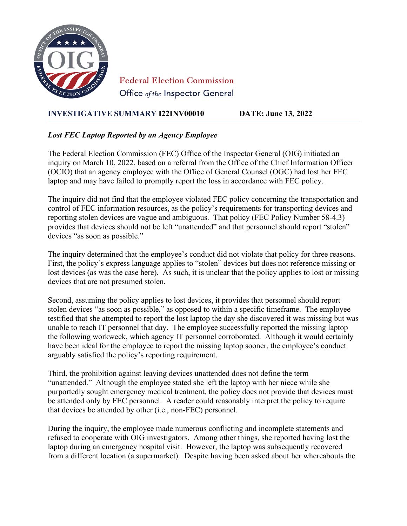

**Federal Election Commission** Office of the Inspector General

## **INVESTIGATIVE SUMMARY I22INV00010 DATE: June 13, 2022**

## *Lost FEC Laptop Reported by an Agency Employee*

The Federal Election Commission (FEC) Office of the Inspector General (OIG) initiated an inquiry on March 10, 2022, based on a referral from the Office of the Chief Information Officer (OCIO) that an agency employee with the Office of General Counsel (OGC) had lost her FEC laptop and may have failed to promptly report the loss in accordance with FEC policy.

The inquiry did not find that the employee violated FEC policy concerning the transportation and control of FEC information resources, as the policy's requirements for transporting devices and reporting stolen devices are vague and ambiguous. That policy (FEC Policy Number 58-4.3) provides that devices should not be left "unattended" and that personnel should report "stolen" devices "as soon as possible."

The inquiry determined that the employee's conduct did not violate that policy for three reasons. First, the policy's express language applies to "stolen" devices but does not reference missing or lost devices (as was the case here). As such, it is unclear that the policy applies to lost or missing devices that are not presumed stolen.

Second, assuming the policy applies to lost devices, it provides that personnel should report stolen devices "as soon as possible," as opposed to within a specific timeframe. The employee testified that she attempted to report the lost laptop the day she discovered it was missing but was unable to reach IT personnel that day. The employee successfully reported the missing laptop the following workweek, which agency IT personnel corroborated. Although it would certainly have been ideal for the employee to report the missing laptop sooner, the employee's conduct arguably satisfied the policy's reporting requirement.

Third, the prohibition against leaving devices unattended does not define the term "unattended." Although the employee stated she left the laptop with her niece while she purportedly sought emergency medical treatment, the policy does not provide that devices must be attended only by FEC personnel. A reader could reasonably interpret the policy to require that devices be attended by other (i.e., non-FEC) personnel.

During the inquiry, the employee made numerous conflicting and incomplete statements and refused to cooperate with OIG investigators. Among other things, she reported having lost the laptop during an emergency hospital visit. However, the laptop was subsequently recovered from a different location (a supermarket). Despite having been asked about her whereabouts the